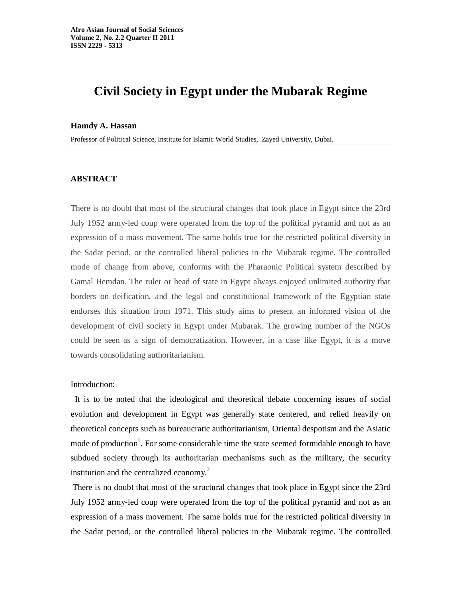# **Civil Society in Egypt under the Mubarak Regime**

#### **Hamdy A. Hassan**

Professor of Political Science, Institute for Islamic World Studies, Zayed University, Dubai.

## **ABSTRACT**

There is no doubt that most of the structural changes that took place in Egypt since the 23rd July 1952 army-led coup were operated from the top of the political pyramid and not as an expression of a mass movement. The same holds true for the restricted political diversity in the Sadat period, or the controlled liberal policies in the Mubarak regime. The controlled mode of change from above, conforms with the Pharaonic Political system described by Gamal Hemdan. The ruler or head of state in Egypt always enjoyed unlimited authority that borders on deification, and the legal and constitutional framework of the Egyptian state endorses this situation from 1971. This study aims to present an informed vision of the development of civil society in Egypt under Mubarak. The growing number of the NGOs could be seen as a sign of democratization. However, in a case like Egypt, it is a move towards consolidating authoritarianism.

#### Introduction:

It is to be noted that the ideological and theoretical debate concerning issues of social evolution and development in Egypt was generally state centered, and relied heavily on theoretical concepts such as bureaucratic authoritarianism, Oriental despotism and the Asiatic mode of production<sup>1</sup>. For some considerable time the state seemed formidable enough to have subdued society through its authoritarian mechanisms such as the military, the security institution and the centralized economy. $^{2}$ 

There is no doubt that most of the structural changes that took place in Egypt since the 23rd July 1952 army-led coup were operated from the top of the political pyramid and not as an expression of a mass movement. The same holds true for the restricted political diversity in the Sadat period, or the controlled liberal policies in the Mubarak regime. The controlled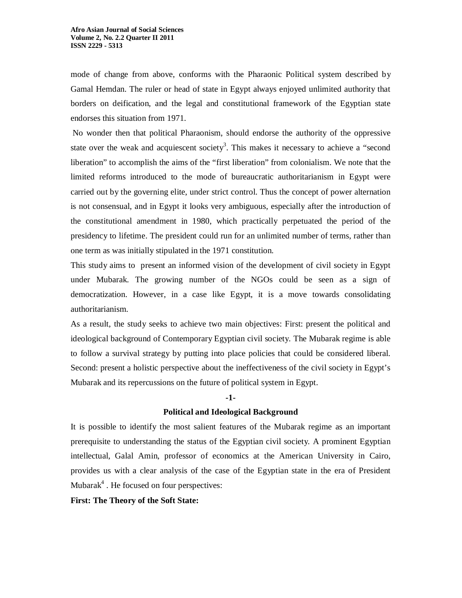mode of change from above, conforms with the Pharaonic Political system described by Gamal Hemdan. The ruler or head of state in Egypt always enjoyed unlimited authority that borders on deification, and the legal and constitutional framework of the Egyptian state endorses this situation from 1971.

No wonder then that political Pharaonism, should endorse the authority of the oppressive state over the weak and acquiescent society<sup>3</sup>. This makes it necessary to achieve a "second liberation" to accomplish the aims of the "first liberation" from colonialism. We note that the limited reforms introduced to the mode of bureaucratic authoritarianism in Egypt were carried out by the governing elite, under strict control. Thus the concept of power alternation is not consensual, and in Egypt it looks very ambiguous, especially after the introduction of the constitutional amendment in 1980, which practically perpetuated the period of the presidency to lifetime. The president could run for an unlimited number of terms, rather than one term as was initially stipulated in the 1971 constitution.

This study aims to present an informed vision of the development of civil society in Egypt under Mubarak. The growing number of the NGOs could be seen as a sign of democratization. However, in a case like Egypt, it is a move towards consolidating authoritarianism.

As a result, the study seeks to achieve two main objectives: First: present the political and ideological background of Contemporary Egyptian civil society. The Mubarak regime is able to follow a survival strategy by putting into place policies that could be considered liberal. Second: present a holistic perspective about the ineffectiveness of the civil society in Egypt's Mubarak and its repercussions on the future of political system in Egypt.

#### **-1-**

#### **Political and Ideological Background**

It is possible to identify the most salient features of the Mubarak regime as an important prerequisite to understanding the status of the Egyptian civil society. A prominent Egyptian intellectual, Galal Amin, professor of economics at the American University in Cairo, provides us with a clear analysis of the case of the Egyptian state in the era of President Mubarak<sup>4</sup>. He focused on four perspectives:

**First: The Theory of the Soft State:**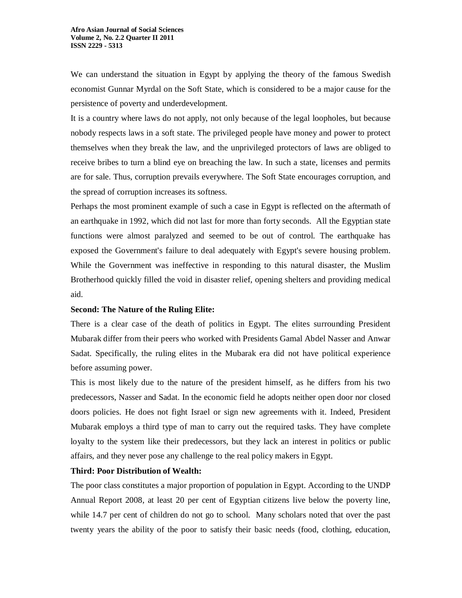We can understand the situation in Egypt by applying the theory of the famous Swedish economist Gunnar Myrdal on the Soft State, which is considered to be a major cause for the persistence of poverty and underdevelopment.

It is a country where laws do not apply, not only because of the legal loopholes, but because nobody respects laws in a soft state. The privileged people have money and power to protect themselves when they break the law, and the unprivileged protectors of laws are obliged to receive bribes to turn a blind eye on breaching the law. In such a state, licenses and permits are for sale. Thus, corruption prevails everywhere. The Soft State encourages corruption, and the spread of corruption increases its softness.

Perhaps the most prominent example of such a case in Egypt is reflected on the aftermath of an earthquake in 1992, which did not last for more than forty seconds. All the Egyptian state functions were almost paralyzed and seemed to be out of control. The earthquake has exposed the Government's failure to deal adequately with Egypt's severe housing problem. While the Government was ineffective in responding to this natural disaster, the Muslim Brotherhood quickly filled the void in disaster relief, opening shelters and providing medical aid.

#### **Second: The Nature of the Ruling Elite:**

There is a clear case of the death of politics in Egypt. The elites surrounding President Mubarak differ from their peers who worked with Presidents Gamal Abdel Nasser and Anwar Sadat. Specifically, the ruling elites in the Mubarak era did not have political experience before assuming power.

This is most likely due to the nature of the president himself, as he differs from his two predecessors, Nasser and Sadat. In the economic field he adopts neither open door nor closed doors policies. He does not fight Israel or sign new agreements with it. Indeed, President Mubarak employs a third type of man to carry out the required tasks. They have complete loyalty to the system like their predecessors, but they lack an interest in politics or public affairs, and they never pose any challenge to the real policy makers in Egypt.

## **Third: Poor Distribution of Wealth:**

The poor class constitutes a major proportion of population in Egypt. According to the UNDP Annual Report 2008, at least 20 per cent of Egyptian citizens live below the poverty line, while 14.7 per cent of children do not go to school. Many scholars noted that over the past twenty years the ability of the poor to satisfy their basic needs (food, clothing, education,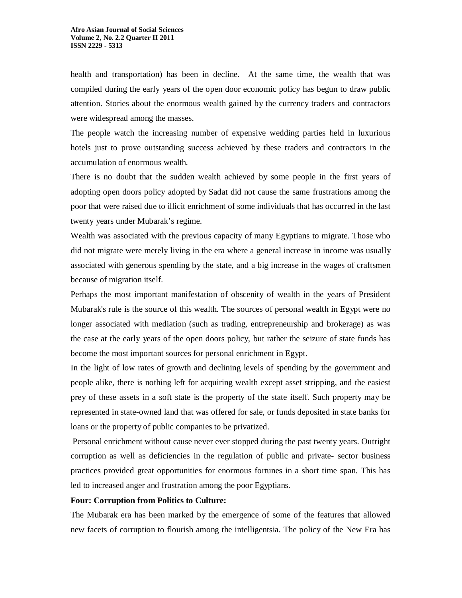health and transportation) has been in decline. At the same time, the wealth that was compiled during the early years of the open door economic policy has begun to draw public attention. Stories about the enormous wealth gained by the currency traders and contractors were widespread among the masses.

The people watch the increasing number of expensive wedding parties held in luxurious hotels just to prove outstanding success achieved by these traders and contractors in the accumulation of enormous wealth.

There is no doubt that the sudden wealth achieved by some people in the first years of adopting open doors policy adopted by Sadat did not cause the same frustrations among the poor that were raised due to illicit enrichment of some individuals that has occurred in the last twenty years under Mubarak's regime.

Wealth was associated with the previous capacity of many Egyptians to migrate. Those who did not migrate were merely living in the era where a general increase in income was usually associated with generous spending by the state, and a big increase in the wages of craftsmen because of migration itself.

Perhaps the most important manifestation of obscenity of wealth in the years of President Mubarak's rule is the source of this wealth. The sources of personal wealth in Egypt were no longer associated with mediation (such as trading, entrepreneurship and brokerage) as was the case at the early years of the open doors policy, but rather the seizure of state funds has become the most important sources for personal enrichment in Egypt.

In the light of low rates of growth and declining levels of spending by the government and people alike, there is nothing left for acquiring wealth except asset stripping, and the easiest prey of these assets in a soft state is the property of the state itself. Such property may be represented in state-owned land that was offered for sale, or funds deposited in state banks for loans or the property of public companies to be privatized.

Personal enrichment without cause never ever stopped during the past twenty years. Outright corruption as well as deficiencies in the regulation of public and private- sector business practices provided great opportunities for enormous fortunes in a short time span. This has led to increased anger and frustration among the poor Egyptians.

#### **Four: Corruption from Politics to Culture:**

The Mubarak era has been marked by the emergence of some of the features that allowed new facets of corruption to flourish among the intelligentsia. The policy of the New Era has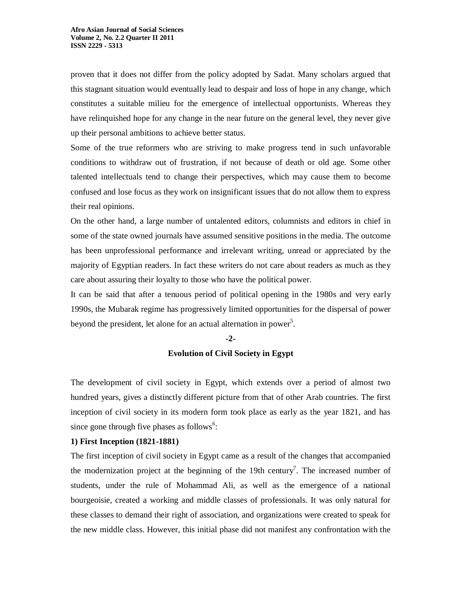proven that it does not differ from the policy adopted by Sadat. Many scholars argued that this stagnant situation would eventually lead to despair and loss of hope in any change, which constitutes a suitable milieu for the emergence of intellectual opportunists. Whereas they have relinquished hope for any change in the near future on the general level, they never give up their personal ambitions to achieve better status.

Some of the true reformers who are striving to make progress tend in such unfavorable conditions to withdraw out of frustration, if not because of death or old age. Some other talented intellectuals tend to change their perspectives, which may cause them to become confused and lose focus as they work on insignificant issues that do not allow them to express their real opinions.

On the other hand, a large number of untalented editors, columnists and editors in chief in some of the state owned journals have assumed sensitive positions in the media. The outcome has been unprofessional performance and irrelevant writing, unread or appreciated by the majority of Egyptian readers. In fact these writers do not care about readers as much as they care about assuring their loyalty to those who have the political power.

It can be said that after a tenuous period of political opening in the 1980s and very early 1990s, the Mubarak regime has progressively limited opportunities for the dispersal of power beyond the president, let alone for an actual alternation in power<sup>5</sup>.

#### **-2-**

## **Evolution of Civil Society in Egypt**

The development of civil society in Egypt, which extends over a period of almost two hundred years, gives a distinctly different picture from that of other Arab countries. The first inception of civil society in its modern form took place as early as the year 1821, and has since gone through five phases as follows<sup>6</sup>:

#### **1) First Inception (1821-1881)**

The first inception of civil society in Egypt came as a result of the changes that accompanied the modernization project at the beginning of the 19th century<sup>7</sup>. The increased number of students, under the rule of Mohammad Ali, as well as the emergence of a national bourgeoisie, created a working and middle classes of professionals. It was only natural for these classes to demand their right of association, and organizations were created to speak for the new middle class. However, this initial phase did not manifest any confrontation with the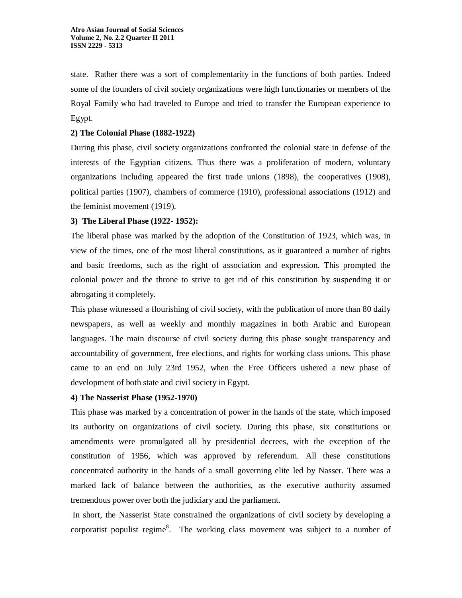state. Rather there was a sort of complementarity in the functions of both parties. Indeed some of the founders of civil society organizations were high functionaries or members of the Royal Family who had traveled to Europe and tried to transfer the European experience to Egypt.

## **2) The Colonial Phase (1882-1922)**

During this phase, civil society organizations confronted the colonial state in defense of the interests of the Egyptian citizens. Thus there was a proliferation of modern, voluntary organizations including appeared the first trade unions (1898), the cooperatives (1908), political parties (1907), chambers of commerce (1910), professional associations (1912) and the feminist movement (1919).

## **3) The Liberal Phase (1922- 1952):**

The liberal phase was marked by the adoption of the Constitution of 1923, which was, in view of the times, one of the most liberal constitutions, as it guaranteed a number of rights and basic freedoms, such as the right of association and expression. This prompted the colonial power and the throne to strive to get rid of this constitution by suspending it or abrogating it completely.

This phase witnessed a flourishing of civil society, with the publication of more than 80 daily newspapers, as well as weekly and monthly magazines in both Arabic and European languages. The main discourse of civil society during this phase sought transparency and accountability of government, free elections, and rights for working class unions. This phase came to an end on July 23rd 1952, when the Free Officers ushered a new phase of development of both state and civil society in Egypt.

## **4) The Nasserist Phase (1952-1970)**

This phase was marked by a concentration of power in the hands of the state, which imposed its authority on organizations of civil society. During this phase, six constitutions or amendments were promulgated all by presidential decrees, with the exception of the constitution of 1956, which was approved by referendum. All these constitutions concentrated authority in the hands of a small governing elite led by Nasser. There was a marked lack of balance between the authorities, as the executive authority assumed tremendous power over both the judiciary and the parliament.

In short, the Nasserist State constrained the organizations of civil society by developing a corporatist populist regime<sup>8</sup>. The working class movement was subject to a number of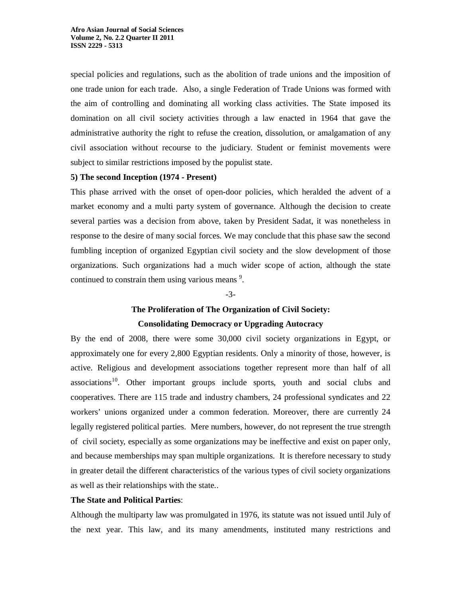special policies and regulations, such as the abolition of trade unions and the imposition of one trade union for each trade. Also, a single Federation of Trade Unions was formed with the aim of controlling and dominating all working class activities. The State imposed its domination on all civil society activities through a law enacted in 1964 that gave the administrative authority the right to refuse the creation, dissolution, or amalgamation of any civil association without recourse to the judiciary. Student or feminist movements were subject to similar restrictions imposed by the populist state.

#### **5) The second Inception (1974 - Present)**

This phase arrived with the onset of open-door policies, which heralded the advent of a market economy and a multi party system of governance. Although the decision to create several parties was a decision from above, taken by President Sadat, it was nonetheless in response to the desire of many social forces. We may conclude that this phase saw the second fumbling inception of organized Egyptian civil society and the slow development of those organizations. Such organizations had a much wider scope of action, although the state continued to constrain them using various means $\degree$ .

-3-

## **The Proliferation of The Organization of Civil Society: Consolidating Democracy or Upgrading Autocracy**

By the end of 2008, there were some 30,000 civil society organizations in Egypt, or approximately one for every 2,800 Egyptian residents. Only a minority of those, however, is active. Religious and development associations together represent more than half of all  $associations<sup>10</sup>$ . Other important groups include sports, youth and social clubs and cooperatives. There are 115 trade and industry chambers, 24 professional syndicates and 22 workers' unions organized under a common federation. Moreover, there are currently 24 legally registered political parties. Mere numbers, however, do not represent the true strength of civil society, especially as some organizations may be ineffective and exist on paper only, and because memberships may span multiple organizations. It is therefore necessary to study in greater detail the different characteristics of the various types of civil society organizations as well as their relationships with the state..

#### **The State and Political Parties**:

 Although the multiparty law was promulgated in 1976, its statute was not issued until July of the next year. This law, and its many amendments, instituted many restrictions and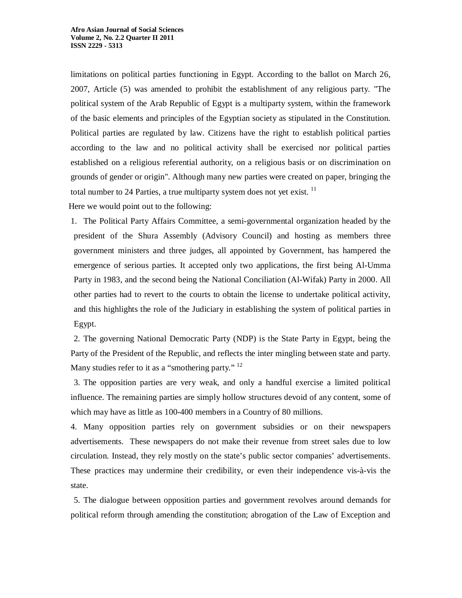limitations on political parties functioning in Egypt. According to the ballot on March 26, 2007, Article (5) was amended to prohibit the establishment of any religious party. "The political system of the Arab Republic of Egypt is a multiparty system, within the framework of the basic elements and principles of the Egyptian society as stipulated in the Constitution. Political parties are regulated by law. Citizens have the right to establish political parties according to the law and no political activity shall be exercised nor political parties established on a religious referential authority, on a religious basis or on discrimination on grounds of gender or origin". Although many new parties were created on paper, bringing the total number to 24 Parties, a true multiparty system does not yet exist. <sup>11</sup>

Here we would point out to the following:

1. The Political Party Affairs Committee, a semi-governmental organization headed by the president of the Shura Assembly (Advisory Council) and hosting as members three government ministers and three judges, all appointed by Government, has hampered the emergence of serious parties. It accepted only two applications, the first being Al-Umma Party in 1983, and the second being the National Conciliation (Al-Wifak) Party in 2000. All other parties had to revert to the courts to obtain the license to undertake political activity, and this highlights the role of the Judiciary in establishing the system of political parties in Egypt.

2. The governing National Democratic Party (NDP) is the State Party in Egypt, being the Party of the President of the Republic, and reflects the inter mingling between state and party. Many studies refer to it as a "smothering party."  $^{12}$ 

3. The opposition parties are very weak, and only a handful exercise a limited political influence. The remaining parties are simply hollow structures devoid of any content, some of which may have as little as 100-400 members in a Country of 80 millions.

4. Many opposition parties rely on government subsidies or on their newspapers advertisements. These newspapers do not make their revenue from street sales due to low circulation. Instead, they rely mostly on the state's public sector companies' advertisements. These practices may undermine their credibility, or even their independence vis-à-vis the state.

5. The dialogue between opposition parties and government revolves around demands for political reform through amending the constitution; abrogation of the Law of Exception and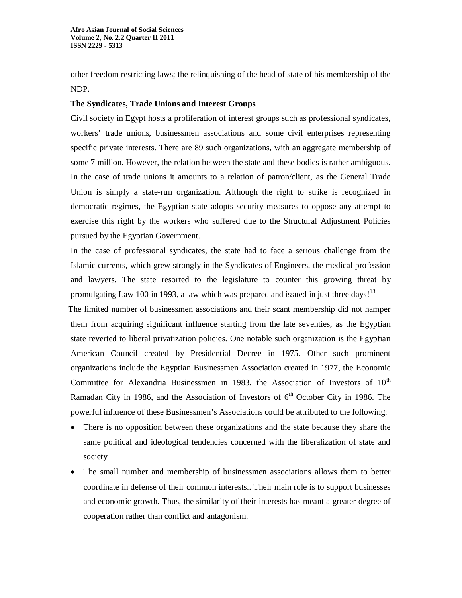other freedom restricting laws; the relinquishing of the head of state of his membership of the NDP.

## **The Syndicates, Trade Unions and Interest Groups**

Civil society in Egypt hosts a proliferation of interest groups such as professional syndicates, workers' trade unions, businessmen associations and some civil enterprises representing specific private interests. There are 89 such organizations, with an aggregate membership of some 7 million. However, the relation between the state and these bodies is rather ambiguous. In the case of trade unions it amounts to a relation of patron/client, as the General Trade Union is simply a state-run organization. Although the right to strike is recognized in democratic regimes, the Egyptian state adopts security measures to oppose any attempt to exercise this right by the workers who suffered due to the Structural Adjustment Policies pursued by the Egyptian Government.

 In the case of professional syndicates, the state had to face a serious challenge from the Islamic currents, which grew strongly in the Syndicates of Engineers, the medical profession and lawyers. The state resorted to the legislature to counter this growing threat by promulgating Law 100 in 1993, a law which was prepared and issued in just three days!<sup>13</sup>

 The limited number of businessmen associations and their scant membership did not hamper them from acquiring significant influence starting from the late seventies, as the Egyptian state reverted to liberal privatization policies. One notable such organization is the Egyptian American Council created by Presidential Decree in 1975. Other such prominent organizations include the Egyptian Businessmen Association created in 1977, the Economic Committee for Alexandria Businessmen in 1983, the Association of Investors of  $10<sup>th</sup>$ Ramadan City in 1986, and the Association of Investors of  $6<sup>th</sup>$  October City in 1986. The powerful influence of these Businessmen's Associations could be attributed to the following:

- There is no opposition between these organizations and the state because they share the same political and ideological tendencies concerned with the liberalization of state and society
- The small number and membership of businessmen associations allows them to better coordinate in defense of their common interests.. Their main role is to support businesses and economic growth. Thus, the similarity of their interests has meant a greater degree of cooperation rather than conflict and antagonism.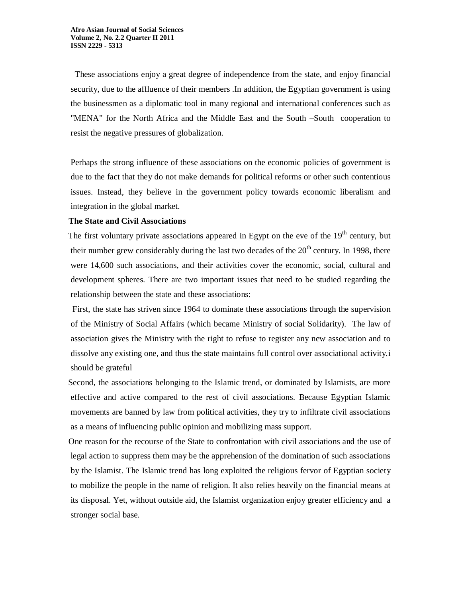These associations enjoy a great degree of independence from the state, and enjoy financial security, due to the affluence of their members .In addition, the Egyptian government is using the businessmen as a diplomatic tool in many regional and international conferences such as "MENA" for the North Africa and the Middle East and the South –South cooperation to resist the negative pressures of globalization.

Perhaps the strong influence of these associations on the economic policies of government is due to the fact that they do not make demands for political reforms or other such contentious issues. Instead, they believe in the government policy towards economic liberalism and integration in the global market.

#### **The State and Civil Associations**

The first voluntary private associations appeared in Egypt on the eve of the 19<sup>th</sup> century, but their number grew considerably during the last two decades of the  $20<sup>th</sup>$  century. In 1998, there were 14,600 such associations, and their activities cover the economic, social, cultural and development spheres. There are two important issues that need to be studied regarding the relationship between the state and these associations:

 First, the state has striven since 1964 to dominate these associations through the supervision of the Ministry of Social Affairs (which became Ministry of social Solidarity). The law of association gives the Ministry with the right to refuse to register any new association and to dissolve any existing one, and thus the state maintains full control over associational activity.i should be grateful

 Second, the associations belonging to the Islamic trend, or dominated by Islamists, are more effective and active compared to the rest of civil associations. Because Egyptian Islamic movements are banned by law from political activities, they try to infiltrate civil associations as a means of influencing public opinion and mobilizing mass support.

 One reason for the recourse of the State to confrontation with civil associations and the use of legal action to suppress them may be the apprehension of the domination of such associations by the Islamist. The Islamic trend has long exploited the religious fervor of Egyptian society to mobilize the people in the name of religion. It also relies heavily on the financial means at its disposal. Yet, without outside aid, the Islamist organization enjoy greater efficiency and a stronger social base.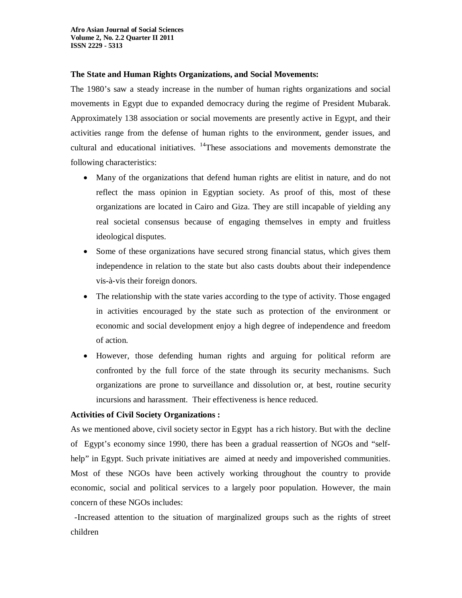## **The State and Human Rights Organizations, and Social Movements:**

The 1980's saw a steady increase in the number of human rights organizations and social movements in Egypt due to expanded democracy during the regime of President Mubarak. Approximately 138 association or social movements are presently active in Egypt, and their activities range from the defense of human rights to the environment, gender issues, and cultural and educational initiatives.  $14$ These associations and movements demonstrate the following characteristics:

- Many of the organizations that defend human rights are elitist in nature, and do not reflect the mass opinion in Egyptian society. As proof of this, most of these organizations are located in Cairo and Giza. They are still incapable of yielding any real societal consensus because of engaging themselves in empty and fruitless ideological disputes.
- Some of these organizations have secured strong financial status, which gives them independence in relation to the state but also casts doubts about their independence vis-à-vis their foreign donors.
- The relationship with the state varies according to the type of activity. Those engaged in activities encouraged by the state such as protection of the environment or economic and social development enjoy a high degree of independence and freedom of action.
- However, those defending human rights and arguing for political reform are confronted by the full force of the state through its security mechanisms. Such organizations are prone to surveillance and dissolution or, at best, routine security incursions and harassment. Their effectiveness is hence reduced.

## **Activities of Civil Society Organizations :**

As we mentioned above, civil society sector in Egypt has a rich history. But with the decline of Egypt's economy since 1990, there has been a gradual reassertion of NGOs and "selfhelp" in Egypt. Such private initiatives are aimed at needy and impoverished communities. Most of these NGOs have been actively working throughout the country to provide economic, social and political services to a largely poor population. However, the main concern of these NGOs includes:

-Increased attention to the situation of marginalized groups such as the rights of street children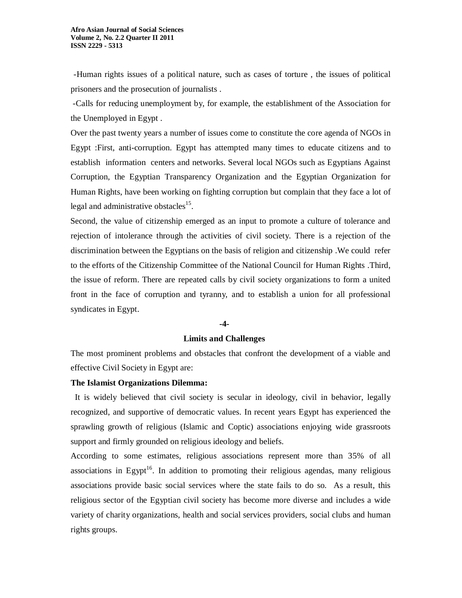-Human rights issues of a political nature, such as cases of torture , the issues of political prisoners and the prosecution of journalists .

-Calls for reducing unemployment by, for example, the establishment of the Association for the Unemployed in Egypt .

Over the past twenty years a number of issues come to constitute the core agenda of NGOs in Egypt :First, anti-corruption. Egypt has attempted many times to educate citizens and to establish information centers and networks. Several local NGOs such as Egyptians Against Corruption, the Egyptian Transparency Organization and the Egyptian Organization for Human Rights, have been working on fighting corruption but complain that they face a lot of legal and administrative obstacles<sup>15</sup>.

 Second, the value of citizenship emerged as an input to promote a culture of tolerance and rejection of intolerance through the activities of civil society. There is a rejection of the discrimination between the Egyptians on the basis of religion and citizenship .We could refer to the efforts of the Citizenship Committee of the National Council for Human Rights .Third, the issue of reform. There are repeated calls by civil society organizations to form a united front in the face of corruption and tyranny, and to establish a union for all professional syndicates in Egypt.

#### **-4-**

### **Limits and Challenges**

The most prominent problems and obstacles that confront the development of a viable and effective Civil Society in Egypt are:

#### **The Islamist Organizations Dilemma:**

 It is widely believed that civil society is secular in ideology, civil in behavior, legally recognized, and supportive of democratic values. In recent years Egypt has experienced the sprawling growth of religious (Islamic and Coptic) associations enjoying wide grassroots support and firmly grounded on religious ideology and beliefs.

According to some estimates, religious associations represent more than 35% of all associations in Egypt<sup>16</sup>. In addition to promoting their religious agendas, many religious associations provide basic social services where the state fails to do so. As a result, this religious sector of the Egyptian civil society has become more diverse and includes a wide variety of charity organizations, health and social services providers, social clubs and human rights groups.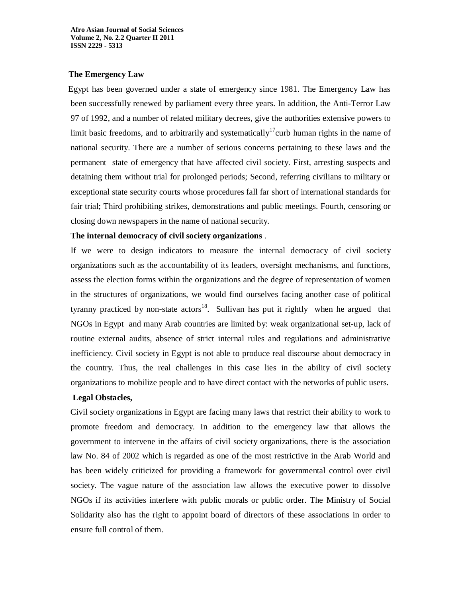## **The Emergency Law**

 Egypt has been governed under a state of emergency since 1981. The Emergency Law has been successfully renewed by parliament every three years. In addition, the Anti-Terror Law 97 of 1992, and a number of related military decrees, give the authorities extensive powers to limit basic freedoms, and to arbitrarily and systematically<sup>17</sup>curb human rights in the name of national security. There are a number of serious concerns pertaining to these laws and the permanent state of emergency that have affected civil society. First, arresting suspects and detaining them without trial for prolonged periods; Second, referring civilians to military or exceptional state security courts whose procedures fall far short of international standards for fair trial; Third prohibiting strikes, demonstrations and public meetings. Fourth, censoring or closing down newspapers in the name of national security.

## **The internal democracy of civil society organizations** .

If we were to design indicators to measure the internal democracy of civil society organizations such as the accountability of its leaders, oversight mechanisms, and functions, assess the election forms within the organizations and the degree of representation of women in the structures of organizations, we would find ourselves facing another case of political tyranny practiced by non-state  $\arccos^{18}$ . Sullivan has put it rightly when he argued that NGOs in Egypt and many Arab countries are limited by: weak organizational set-up, lack of routine external audits, absence of strict internal rules and regulations and administrative inefficiency. Civil society in Egypt is not able to produce real discourse about democracy in the country. Thus, the real challenges in this case lies in the ability of civil society organizations to mobilize people and to have direct contact with the networks of public users.

## **Legal Obstacles,**

 Civil society organizations in Egypt are facing many laws that restrict their ability to work to promote freedom and democracy. In addition to the emergency law that allows the government to intervene in the affairs of civil society organizations, there is the association law No. 84 of 2002 which is regarded as one of the most restrictive in the Arab World and has been widely criticized for providing a framework for governmental control over civil society. The vague nature of the association law allows the executive power to dissolve NGOs if its activities interfere with public morals or public order. The Ministry of Social Solidarity also has the right to appoint board of directors of these associations in order to ensure full control of them.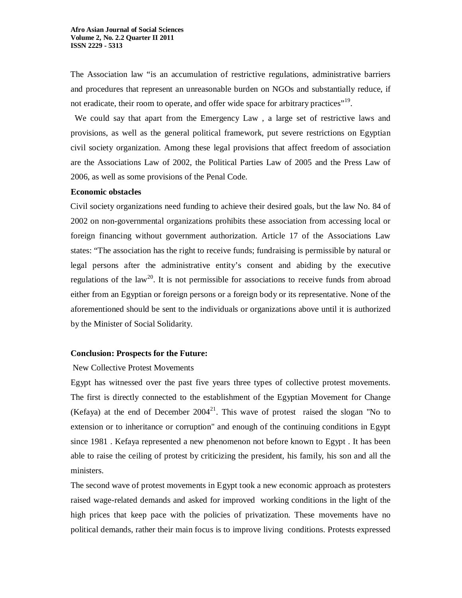The Association law "is an accumulation of restrictive regulations, administrative barriers and procedures that represent an unreasonable burden on NGOs and substantially reduce, if not eradicate, their room to operate, and offer wide space for arbitrary practices"<sup>19</sup>.

 We could say that apart from the Emergency Law , a large set of restrictive laws and provisions, as well as the general political framework, put severe restrictions on Egyptian civil society organization. Among these legal provisions that affect freedom of association are the Associations Law of 2002, the Political Parties Law of 2005 and the Press Law of 2006, as well as some provisions of the Penal Code.

#### **Economic obstacles**

 Civil society organizations need funding to achieve their desired goals, but the law No. 84 of 2002 on non-governmental organizations prohibits these association from accessing local or foreign financing without government authorization. Article 17 of the Associations Law states: "The association has the right to receive funds; fundraising is permissible by natural or legal persons after the administrative entity's consent and abiding by the executive regulations of the law<sup>20</sup>. It is not permissible for associations to receive funds from abroad either from an Egyptian or foreign persons or a foreign body or its representative. None of the aforementioned should be sent to the individuals or organizations above until it is authorized by the Minister of Social Solidarity.

#### **Conclusion: Prospects for the Future:**

#### New Collective Protest Movements

Egypt has witnessed over the past five years three types of collective protest movements. The first is directly connected to the establishment of the Egyptian Movement for Change (Kefaya) at the end of December  $2004^{21}$ . This wave of protest raised the slogan "No to extension or to inheritance or corruption" and enough of the continuing conditions in Egypt since 1981 . Kefaya represented a new phenomenon not before known to Egypt . It has been able to raise the ceiling of protest by criticizing the president, his family, his son and all the ministers.

The second wave of protest movements in Egypt took a new economic approach as protesters raised wage-related demands and asked for improved working conditions in the light of the high prices that keep pace with the policies of privatization. These movements have no political demands, rather their main focus is to improve living conditions. Protests expressed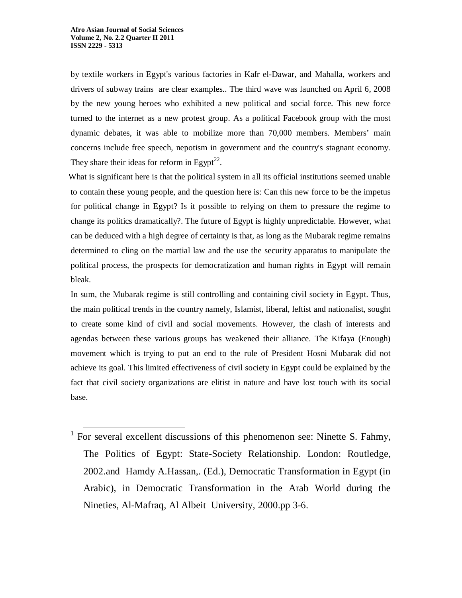$\overline{a}$ 

by textile workers in Egypt's various factories in Kafr el-Dawar, and Mahalla, workers and drivers of subway trains are clear examples.. The third wave was launched on April 6, 2008 by the new young heroes who exhibited a new political and social force. This new force turned to the internet as a new protest group. As a political Facebook group with the most dynamic debates, it was able to mobilize more than 70,000 members. Members' main concerns include free speech, nepotism in government and the country's stagnant economy. They share their ideas for reform in Egypt<sup>22</sup>.

What is significant here is that the political system in all its official institutions seemed unable to contain these young people, and the question here is: Can this new force to be the impetus for political change in Egypt? Is it possible to relying on them to pressure the regime to change its politics dramatically?. The future of Egypt is highly unpredictable. However, what can be deduced with a high degree of certainty is that, as long as the Mubarak regime remains determined to cling on the martial law and the use the security apparatus to manipulate the political process, the prospects for democratization and human rights in Egypt will remain bleak.

 In sum, the Mubarak regime is still controlling and containing civil society in Egypt. Thus, the main political trends in the country namely, Islamist, liberal, leftist and nationalist, sought to create some kind of civil and social movements. However, the clash of interests and agendas between these various groups has weakened their alliance. The Kifaya (Enough) movement which is trying to put an end to the rule of President Hosni Mubarak did not achieve its goal. This limited effectiveness of civil society in Egypt could be explained by the fact that civil society organizations are elitist in nature and have lost touch with its social base.

<sup>&</sup>lt;sup>1</sup> For several excellent discussions of this phenomenon see: Ninette S. Fahmy, The Politics of Egypt: State-Society Relationship. London: Routledge, 2002.and Hamdy A.Hassan,. (Ed.), Democratic Transformation in Egypt (in Arabic), in Democratic Transformation in the Arab World during the Nineties, Al-Mafraq, Al Albeit University, 2000.pp 3-6.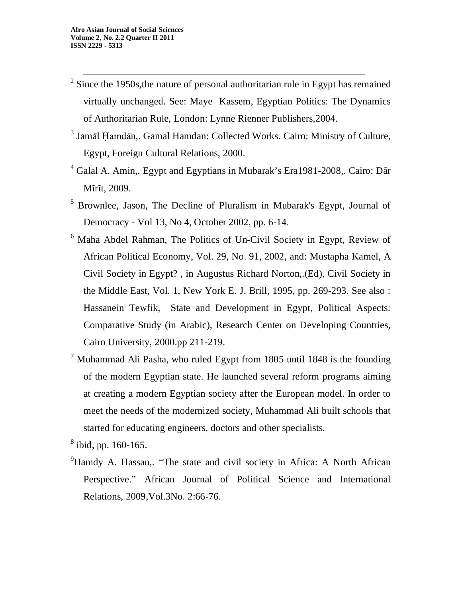- $\overline{a}$  $2$  Since the 1950s, the nature of personal authoritarian rule in Egypt has remained virtually unchanged. See: Maye Kassem, Egyptian Politics: The Dynamics of Authoritarian Rule, London: Lynne Rienner Publishers,2004.
- <sup>3</sup> Jamāl Ḥamdān,. Gamal Hamdan: Collected Works. Cairo: Ministry of Culture, Egypt, Foreign Cultural Relations, 2000.
- <sup>4</sup> Galal A. Amin,. Egypt and Egyptians in Mubarak's Era1981-2008,. Cairo: Dār Mīrīt, 2009.
- <sup>5</sup> Brownlee, Jason, The Decline of Pluralism in Mubarak's Egypt, Journal of Democracy - Vol 13, No 4, October 2002, pp. 6-14.
- <sup>6</sup> Maha Abdel Rahman, The Politics of Un-Civil Society in Egypt, Review of African Political Economy, Vol. 29, No. 91, 2002, and: Mustapha Kamel, A Civil Society in Egypt? , in Augustus Richard Norton,.(Ed), Civil Society in the Middle East, Vol. 1, New York E. J. Brill, 1995, pp. 269-293. See also : Hassanein Tewfik, State and Development in Egypt, Political Aspects: Comparative Study (in Arabic), Research Center on Developing Countries, Cairo University, 2000.pp 211-219.
- $7$  Muhammad Ali Pasha, who ruled Egypt from 1805 until 1848 is the founding of the modern Egyptian state. He launched several reform programs aiming at creating a modern Egyptian society after the European model. In order to meet the needs of the modernized society, Muhammad Ali built schools that started for educating engineers, doctors and other specialists.

8 ibid, pp. 160-165.

<sup>9</sup>Hamdy A. Hassan,. "The state and civil society in Africa: A North African Perspective." African Journal of Political Science and International Relations, 2009,Vol.3No. 2:66-76.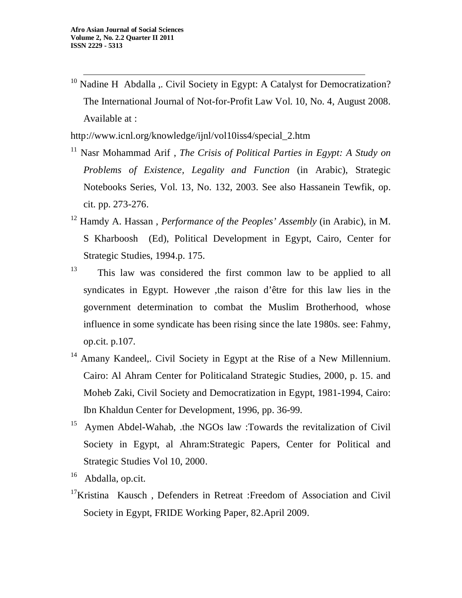$\overline{a}$  $10$  Nadine H Abdalla ,. Civil Society in Egypt: A Catalyst for Democratization? The International Journal of Not-for-Profit Law Vol. 10, No. 4, August 2008. Available at :

http://www.icnl.org/knowledge/ijnl/vol10iss4/special\_2.htm

- <sup>11</sup> Nasr Mohammad Arif , *The Crisis of Political Parties in Egypt: A Study on Problems of Existence, Legality and Function* (in Arabic), Strategic Notebooks Series, Vol. 13, No. 132, 2003. See also Hassanein Tewfik, op. cit. pp. 273-276.
- <sup>12</sup> Hamdy A. Hassan , *Performance of the Peoples' Assembly* (in Arabic), in M. S Kharboosh (Ed), Political Development in Egypt, Cairo, Center for Strategic Studies, 1994.p. 175.
- 13 This law was considered the first common law to be applied to all syndicates in Egypt. However ,the raison d'être for this law lies in the government determination to combat the Muslim Brotherhood, whose influence in some syndicate has been rising since the late 1980s. see: Fahmy, op.cit. p.107.
- <sup>14</sup> Amany Kandeel,. Civil Society in Egypt at the Rise of a New Millennium. Cairo: Al Ahram Center for Politicaland Strategic Studies, 2000, p. 15. and Moheb Zaki, Civil Society and Democratization in Egypt, 1981-1994, Cairo: Ibn Khaldun Center for Development, 1996, pp. 36-99.
- <sup>15</sup> Aymen Abdel-Wahab, .the NGOs law :Towards the revitalization of Civil Society in Egypt, al Ahram:Strategic Papers, Center for Political and Strategic Studies Vol 10, 2000.
- <sup>16</sup> Abdalla, op.cit.
- <sup>17</sup>Kristina Kausch, Defenders in Retreat :Freedom of Association and Civil Society in Egypt, FRIDE Working Paper, 82.April 2009.